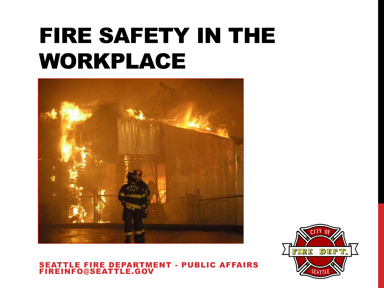## FIRE SAFETY IN THE WORKPLACE





#### SEATTLE FIRE DEPARTMENT - PUBLIC AFFAIRS FIREINFO@SEATTLE.GOV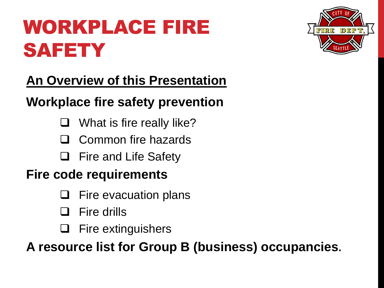## WORKPLACE FIRE SAFETY



### **An Overview of this Presentation**

#### **Workplace fire safety prevention**

- What is fire really like?
- Common fire hazards
- Fire and Life Safety

#### **Fire code requirements**

- Fire evacuation plans
- Fire drills
- Fire extinguishers

**A resource list for Group B (business) occupancies.**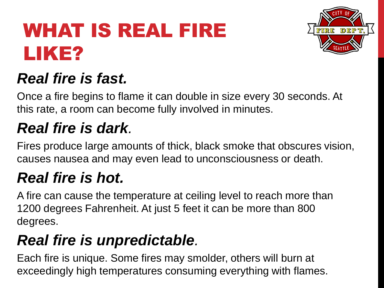## WHAT IS REAL FIRE LIKE?



### *Real fire is fast.*

Once a fire begins to flame it can double in size every 30 seconds. At this rate, a room can become fully involved in minutes.

### *Real fire is dark.*

Fires produce large amounts of thick, black smoke that obscures vision, causes nausea and may even lead to unconsciousness or death.

### *Real fire is hot.*

A fire can cause the temperature at ceiling level to reach more than 1200 degrees Fahrenheit. At just 5 feet it can be more than 800 degrees.

### *Real fire is unpredictable.*

Each fire is unique. Some fires may smolder, others will burn at exceedingly high temperatures consuming everything with flames.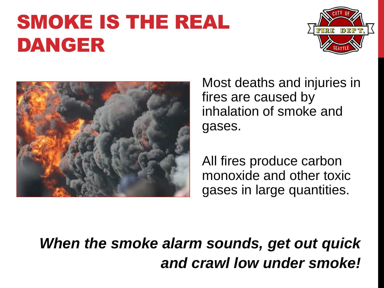## SMOKE IS THE REAL DANGER





Most deaths and injuries in fires are caused by inhalation of smoke and gases.

All fires produce carbon monoxide and other toxic gases in large quantities.

*When the smoke alarm sounds, get out quick and crawl low under smoke!*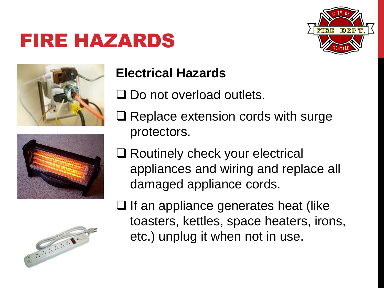### FIRE HAZARDS





#### **Electrical Hazards**

- □ Do not overload outlets.
- $\Box$  Replace extension cords with surge protectors.



□ Routinely check your electrical appliances and wiring and replace all damaged appliance cords.



 $\Box$  If an appliance generates heat (like toasters, kettles, space heaters, irons, etc.) unplug it when not in use.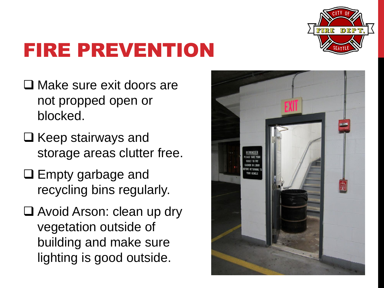

## FIRE PREVENTION

- $\Box$  Make sure exit doors are not propped open or blocked.
- $\square$  Keep stairways and storage areas clutter free.
- $\Box$  Empty garbage and recycling bins regularly.
- □ Avoid Arson: clean up dry vegetation outside of building and make sure lighting is good outside.

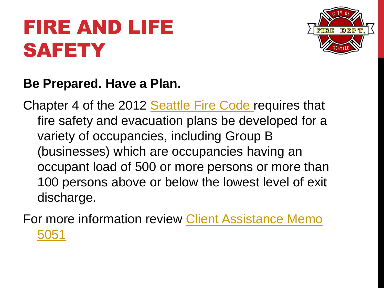## FIRE AND LIFE **SAFETY**



#### **Be Prepared. Have a Plan.**

Chapter 4 of the 2012 [Seattle Fire Code r](http://www.seattle.gov/fire/FMO/firecode/firecode.htm)equires that fire safety and evacuation plans be developed for a variety of occupancies, including Group B (businesses) which are occupancies having an occupant load of 500 or more persons or more than 100 persons above or below the lowest level of exit discharge.

For more information review [Client Assistance Memo](http://www.seattle.gov/fire/FMO/firecode/cam/5051CAM Evac Plans.pdf)  [5051](http://www.seattle.gov/fire/FMO/firecode/cam/5051CAM Evac Plans.pdf)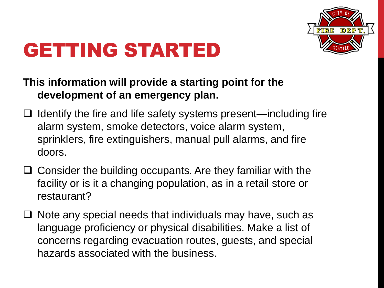

### GETTING STARTED

#### **This information will provide a starting point for the development of an emergency plan.**

- $\Box$  Identify the fire and life safety systems present—including fire alarm system, smoke detectors, voice alarm system, sprinklers, fire extinguishers, manual pull alarms, and fire doors.
- $\Box$  Consider the building occupants. Are they familiar with the facility or is it a changing population, as in a retail store or restaurant?
- $\Box$  Note any special needs that individuals may have, such as language proficiency or physical disabilities. Make a list of concerns regarding evacuation routes, guests, and special hazards associated with the business.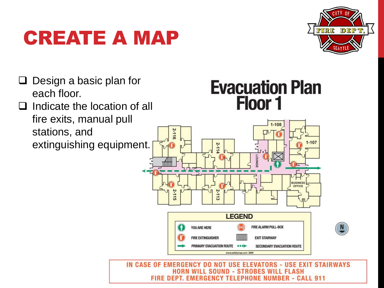### CREATE A MAP



 $\Box$  Design a basic plan for **Evacuation Plan** each floor. **Floor 1**  $\Box$  Indicate the location of all fire exits, manual pull  $1 - 108$ stations, and 2-116 extinguishing equipment.  $1 - 107$ 2-114 **Louw BUSINESS** OFFICE  $5 - 112$ 금 **LEGEND** YOU ARE HERE **FIRE ALARM PULL-BOX FIRE EXTINGUISHER EXIT STAIRWAY** SECONDARY EVACUATION ROUTE PRIMARY EVACUATION ROUTE ... www.safetymap.com 2009 **IN CASE OF EMER USE EXIT STAIRWAYS** FIRE DEPT. EMERGENCY TELEPHONE NUMBER - CALL 911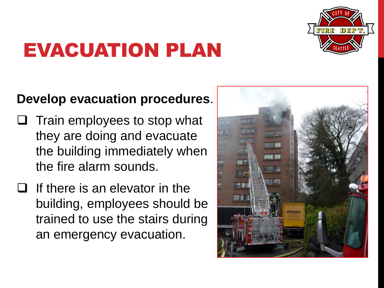

### EVACUATION PLAN

#### **Develop evacuation procedures**.

- $\Box$  Train employees to stop what they are doing and evacuate the building immediately when the fire alarm sounds.
- $\Box$  If there is an elevator in the building, employees should be trained to use the stairs during an emergency evacuation.

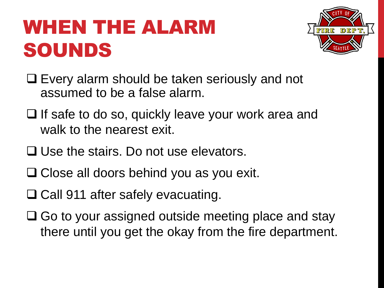### WHEN THE ALARM SOUNDS



- $\Box$  Every alarm should be taken seriously and not assumed to be a false alarm.
- $\Box$  If safe to do so, quickly leave your work area and walk to the nearest exit.
- □ Use the stairs. Do not use elevators.
- □ Close all doors behind you as you exit.
- $\Box$  Call 911 after safely evacuating.
- $\square$  Go to your assigned outside meeting place and stay there until you get the okay from the fire department.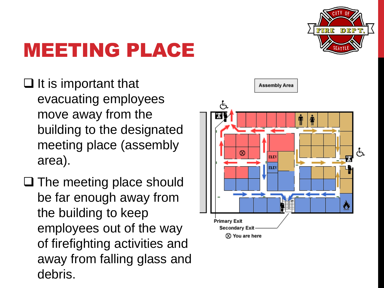

### MEETING PLACE

- $\Box$  It is important that evacuating employees move away from the building to the designated meeting place (assembly area).
- $\square$  The meeting place should be far enough away from the building to keep employees out of the way of firefighting activities and away from falling glass and debris.

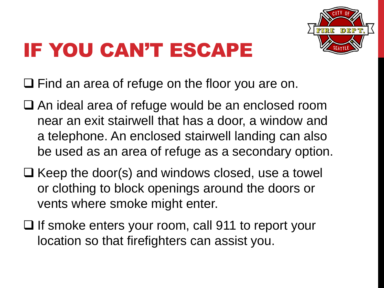

## IF YOU CAN'T ESCAPE

- $\Box$  Find an area of refuge on the floor you are on.
- □ An ideal area of refuge would be an enclosed room near an exit stairwell that has a door, a window and a telephone. An enclosed stairwell landing can also be used as an area of refuge as a secondary option.
- $\Box$  Keep the door(s) and windows closed, use a towel or clothing to block openings around the doors or vents where smoke might enter.
- $\Box$  If smoke enters your room, call 911 to report your location so that firefighters can assist you.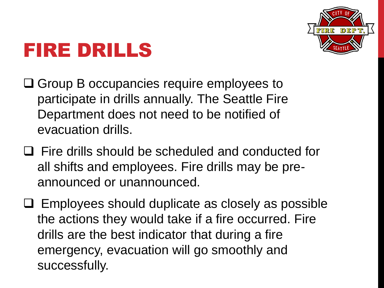

### FIRE DRILLS

- □ Group B occupancies require employees to participate in drills annually. The Seattle Fire Department does not need to be notified of evacuation drills.
- $\Box$  Fire drills should be scheduled and conducted for all shifts and employees. Fire drills may be preannounced or unannounced.
- $\Box$  Employees should duplicate as closely as possible the actions they would take if a fire occurred. Fire drills are the best indicator that during a fire emergency, evacuation will go smoothly and successfully.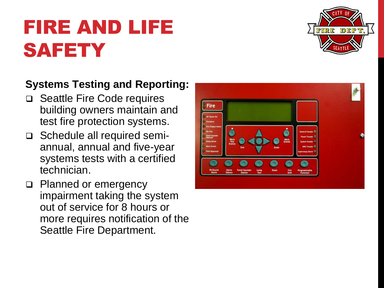### FIRE AND LIFE **SAFETY**



#### **Systems Testing and Reporting:**

- □ Seattle Fire Code requires building owners maintain and test fire protection systems.
- □ Schedule all required semiannual, annual and five-year systems tests with a certified technician.
- D Planned or emergency impairment taking the system out of service for 8 hours or more requires notification of the Seattle Fire Department.

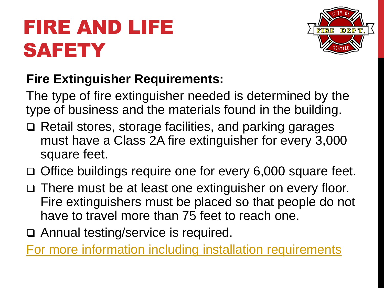## FIRE AND LIFE **SAFETY**



### **Fire Extinguisher Requirements:**

The type of fire extinguisher needed is determined by the type of business and the materials found in the building.

- □ Retail stores, storage facilities, and parking garages must have a Class 2A fire extinguisher for every 3,000 square feet.
- □ Office buildings require one for every 6,000 square feet.
- □ There must be at least one extinguisher on every floor. Fire extinguishers must be placed so that people do not have to travel more than 75 feet to reach one.
- □ Annual testing/service is required.

[For more information including installation requirements](http://www.seattle.gov/fire/FMO/firecode/cam/5961CAM FireExtinguisher.pdf)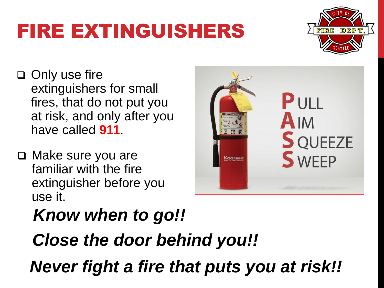## FIRE EXTINGUISHERS



 $\square$  Only use fire extinguishers for small fires, that do not put you at risk, and only after you have called **911**.

□ Make sure you are familiar with the fire extinguisher before you use it.



### *Know when to go!!*

*Close the door behind you!!*

*Never fight a fire that puts you at risk!!*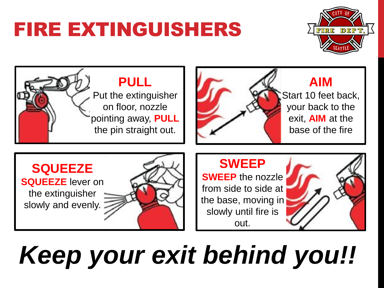### FIRE EXTINGUISHERS







**AIM** Start 10 feet back, your back to the exit, **AIM** at the base of the fire

#### **SQUEEZE**

**SQUEEZE** lever on the extinguisher slowly and evenly.



#### **SWEEP**

**SWEEP** the nozzle from side to side at the base, moving in slowly until fire is out.



# *Keep your exit behind you!!*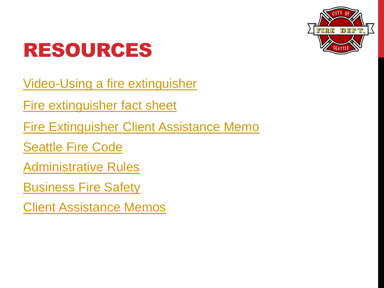



[Video-Using a fire extinguisher](https://www.youtube.com/watch?v=ZCSms-jyOao)

[Fire extinguisher fact sheet](http://www.seattle.gov/fire/pubEd/brochures/FireExtinguishers.pdf) 

[Fire Extinguisher Client Assistance Memo](http://www.seattle.gov/fire/FMO/firecode/cam/5961CAM FireExtinguisher.pdf)

[Seattle Fire Code](http://www.seattle.gov/fire/FMO/firecode/firecode.htm) 

[Administrative Rules](http://www.seattle.gov/fire/FMO/firecode/adminRules.htm)

[Business Fire Safety](http://www.seattle.gov/fire/pubEd/business/businessFireSafety.htm)

[Client Assistance Memos](http://www.seattle.gov/fire/FMO/firecode/cam/default.htm)